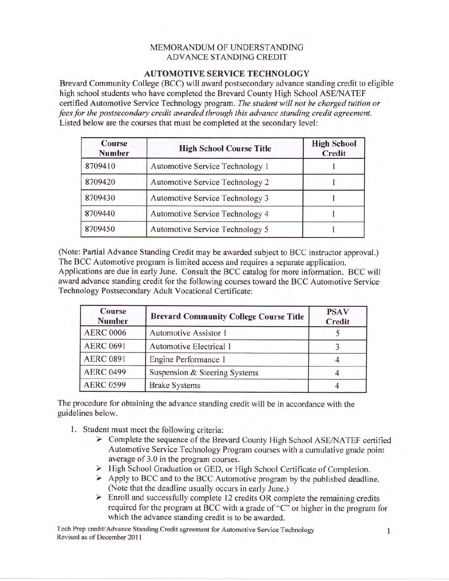## MEMORANDUM OF UNDERSTANDING ADVANCE STANDING CREDIT

## AUTOMOTIVE SERVICE TECHNOLOGY

Brevard Community College (BCC) will award postsecondary advance standing credit to eligible high school students who have completed the Brevard County High School ASE/NATEF certified Automotive Service Technology program. The student will not be charged tuition or fees for the postsecondary credit awarded through this advance standing credit agreement. Listed below are the courses that must be completed at the secondary level:

| Course<br><b>Number</b> | <b>High School Course Title</b> | <b>High School</b><br>Credit |
|-------------------------|---------------------------------|------------------------------|
| 8709410                 | Automotive Service Technology 1 |                              |
| 8709420                 | Automotive Service Technology 2 |                              |
| 8709430                 | Automotive Service Technology 3 |                              |
| 8709440                 | Automotive Service Technology 4 |                              |
| 8709450                 | Automotive Service Technology 5 |                              |

(Note: Partial Advance Standing Credit may be awarded subject to BCC instructor approval.) The BCC Automotive program is limited access and requires a separate application. Applications are due in early June. Consult the BCC catalog for more information. BCC will award advance standing credit for the following courses toward the BCC Automotive Service Technology Postsecondary Adult Vocational Certificate:

| <b>Course</b><br><b>Number</b> | <b>Brevard Community College Course Title</b> | <b>PSAV</b><br>Credit |
|--------------------------------|-----------------------------------------------|-----------------------|
| <b>AERC 0006</b>               | Automotive Assistor 1                         |                       |
| <b>AERC 0691</b>               | Automotive Electrical 1                       |                       |
| <b>AERC 0891</b>               | Engine Performance 1                          |                       |
| <b>AERC 0499</b>               | Suspension & Steering Systems                 |                       |
| <b>AERC 0599</b>               | <b>Brake Systems</b>                          |                       |

The procedure for obtaining the advance standing credit will be in accordance with the guidelines below.

- 
- 1. Student must meet the following criteria:<br>
> Complete the sequence of the Brevard County High School ASE/NATEF certified Automotive Service Technology Program courses with a cumulative grade point average of 3.0 in the program courses.
	- > High School Graduation or GED, or High School Certificate of Completion.
	- $\triangleright$  Apply to BCC and to the BCC Automotive program by the published deadline. (Note that the deadline usually occurs in early June.)<br>  $\triangleright$  Enroll and successfully complete 12 credits OR complete the remaining credits
	- required for the program at BCC with a grade of "C" or higher in the program for which the advance standing credit is to be awarded.

Tech Prep credit/Advance Standing Credit agreement for Automotive Service Technology 1 Revised as of December 201I